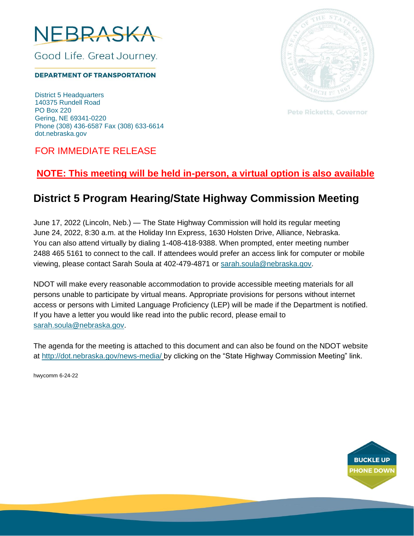

Good Life. Great Journey.

**DEPARTMENT OF TRANSPORTATION** 

District 5 Headquarters 140375 Rundell Road PO Box 220 Gering, NE 69341-0220 Phone (308) 436-6587 Fax (308) 633-6614 dot.nebraska.gov



**Pete Ricketts, Governor** 

### FOR IMMEDIATE RELEASE

## **NOTE: This meeting will be held in-person, a virtual option is also available**

# **District 5 Program Hearing/State Highway Commission Meeting**

June 17, 2022 (Lincoln, Neb.) — The State Highway Commission will hold its regular meeting June 24, 2022, 8:30 a.m. at the Holiday Inn Express, 1630 Holsten Drive, Alliance, Nebraska. You can also attend virtually by dialing 1-408-418-9388. When prompted, enter meeting number 2488 465 5161 to connect to the call. If attendees would prefer an access link for computer or mobile viewing, please contact Sarah Soula at 402-479-4871 or [sarah.soula@nebraska.gov.](mailto:sarah.soula@nebraska.gov)

NDOT will make every reasonable accommodation to provide accessible meeting materials for all persons unable to participate by virtual means. Appropriate provisions for persons without internet access or persons with Limited Language Proficiency (LEP) will be made if the Department is notified. If you have a letter you would like read into the public record, please email to [sarah.soula@nebraska.gov.](mailto:sarah.soula@nebraska.gov)

The agenda for the meeting is attached to this document and can also be found on the NDOT website at <http://dot.nebraska.gov/news-media/> by clicking on the "State Highway Commission Meeting" link.

hwycomm 6-24-22

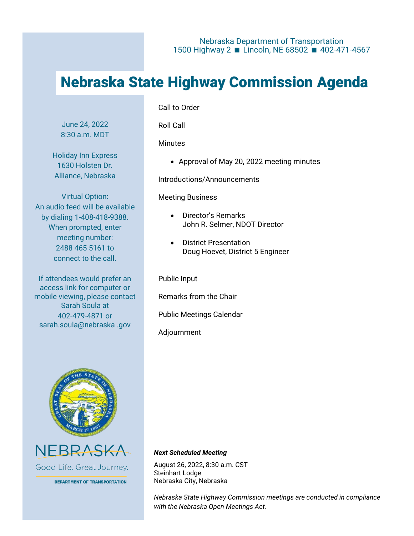# Nebraska State Highway Commission Agenda

June 24, 2022 8:30 a.m. MDT

Holiday Inn Express 1630 Holsten Dr. Alliance, Nebraska

Virtual Option: An audio feed will be available by dialing 1-408-418-9388. When prompted, enter meeting number: 2488 465 5161 to connect to the call.

If attendees would prefer an access link for computer or mobile viewing, please contact Sarah Soula at 402-479-4871 or sarah.soula@nebraska .gov

#### Call to Order

Roll Call

**Minutes** 

• Approval of May 20, 2022 meeting minutes

Introductions/Announcements

#### Meeting Business

- Director's Remarks John R. Selmer, NDOT Director
- District Presentation Doug Hoevet, District 5 Engineer

Public Input

Remarks from the Chair

Public Meetings Calendar

Adjournment





**DEPARTMENT OF TRANSPORTATION** 

#### *Next Scheduled Meeting*

August 26, 2022, 8:30 a.m. CST Steinhart Lodge Nebraska City, Nebraska

*Nebraska State Highway Commission meetings are conducted in compliance with the Nebraska Open Meetings Act.*